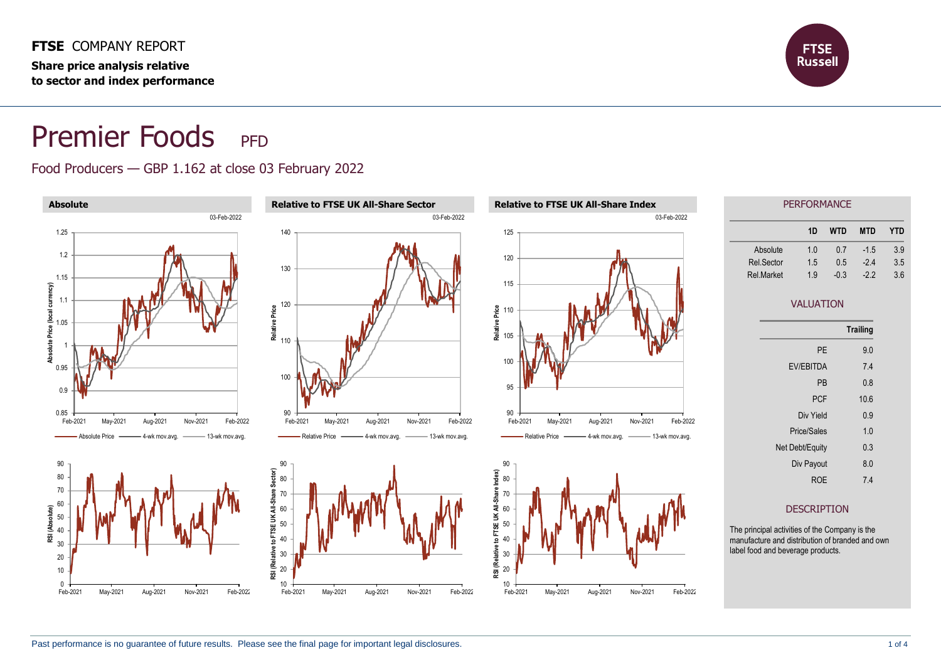**FTSE** COMPANY REPORT **Share price analysis relative to sector and index performance**



# Premier Foods PFD

#### Food Producers — GBP 1.162 at close 03 February 2022

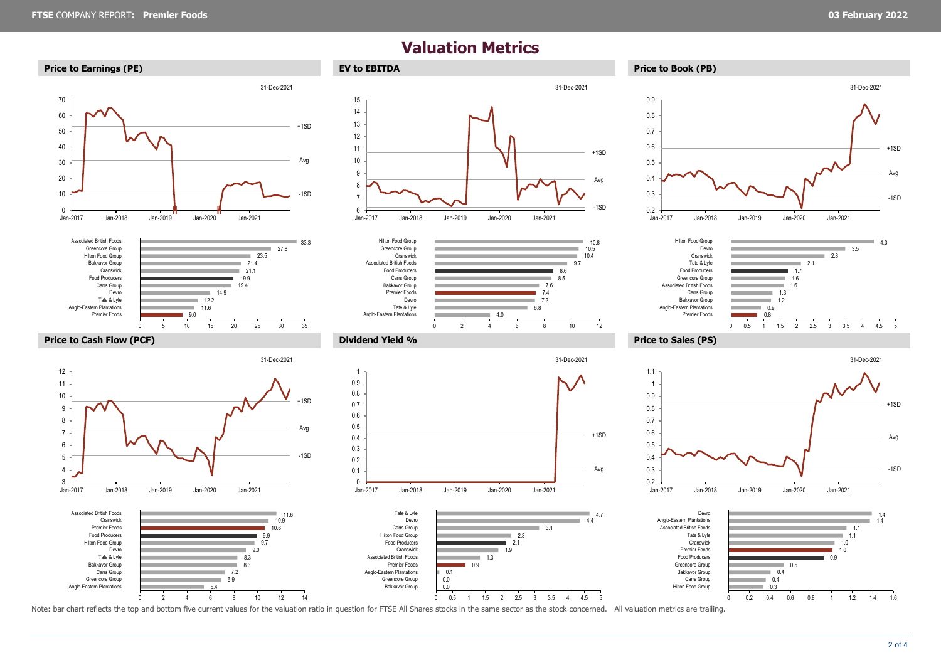## **Valuation Metrics**



> Anglo-Eastern Plantations Greencore Group Carrs Group Bakkavor Group Tate & Lyle Devro Hilton Food Group Food Producers Premier Foods Cranswick Associated British Foods





Jan-2017 Jan-2018 Jan-2019 Jan-2020 Jan-2021

5.4 6.9 7.2 8.3 8.3 9.0 9.7 9.9 10.6 10.9 11.6

a.

0 2 4 6 8 10 12 14

 $\sim$ ÷







-1SD

Avg

+1SD

31-Dec-2021

÷









#### **Price to Cash Flow (PCF) Dividend Yield % Price to Sales (PS)**





Note: bar chart reflects the top and bottom five current values for the valuation ratio in question for FTSE All Shares stocks in the same sector as the stock concerned. All valuation metrics are trailing.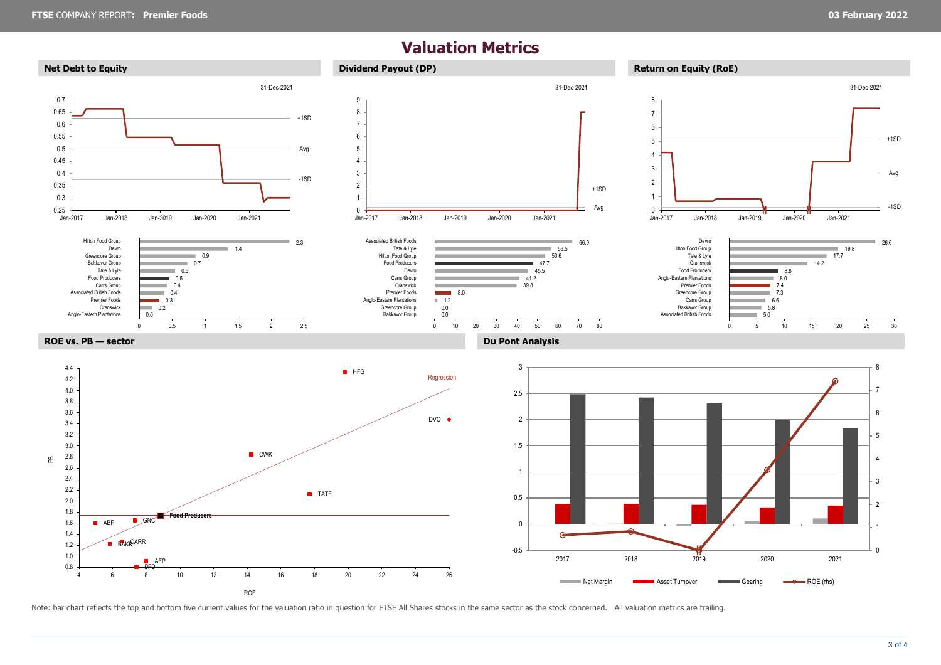## **Valuation Metrics**



Note: bar chart reflects the top and bottom five current values for the valuation ratio in question for FTSE All Shares stocks in the same sector as the stock concerned. All valuation metrics are trailing.